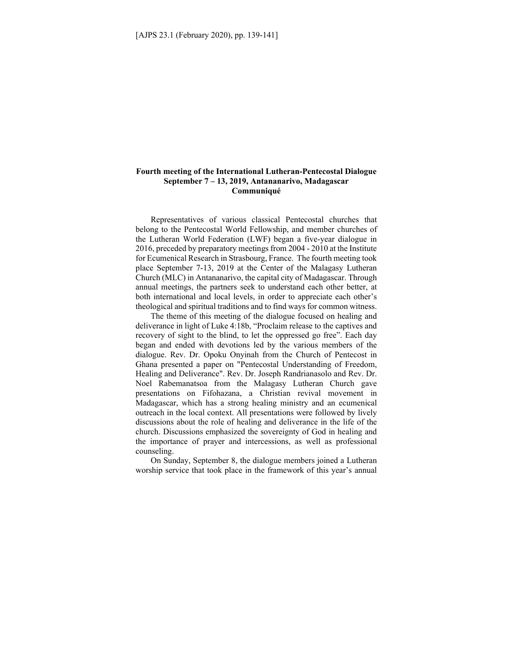## **Fourth meeting of the International Lutheran-Pentecostal Dialogue September 7 – 13, 2019, Antananarivo, Madagascar Communiqué**

Representatives of various classical Pentecostal churches that belong to the Pentecostal World Fellowship, and member churches of the Lutheran World Federation (LWF) began a five-year dialogue in 2016, preceded by preparatory meetings from 2004 - 2010 at the Institute for Ecumenical Research in Strasbourg, France. The fourth meeting took place September 7-13, 2019 at the Center of the Malagasy Lutheran Church (MLC) in Antananarivo, the capital city of Madagascar. Through annual meetings, the partners seek to understand each other better, at both international and local levels, in order to appreciate each other's theological and spiritual traditions and to find ways for common witness.

The theme of this meeting of the dialogue focused on healing and deliverance in light of Luke 4:18b, "Proclaim release to the captives and recovery of sight to the blind, to let the oppressed go free". Each day began and ended with devotions led by the various members of the dialogue. Rev. Dr. Opoku Onyinah from the Church of Pentecost in Ghana presented a paper on "Pentecostal Understanding of Freedom, Healing and Deliverance". Rev. Dr. Joseph Randrianasolo and Rev. Dr. Noel Rabemanatsoa from the Malagasy Lutheran Church gave presentations on Fifohazana, a Christian revival movement in Madagascar, which has a strong healing ministry and an ecumenical outreach in the local context. All presentations were followed by lively discussions about the role of healing and deliverance in the life of the church. Discussions emphasized the sovereignty of God in healing and the importance of prayer and intercessions, as well as professional counseling.

On Sunday, September 8, the dialogue members joined a Lutheran worship service that took place in the framework of this year's annual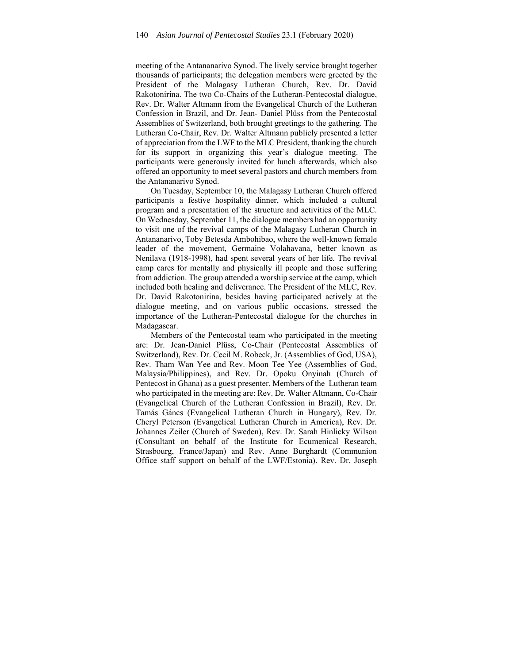meeting of the Antananarivo Synod. The lively service brought together thousands of participants; the delegation members were greeted by the President of the Malagasy Lutheran Church, Rev. Dr. David Rakotonirina. The two Co-Chairs of the Lutheran-Pentecostal dialogue, Rev. Dr. Walter Altmann from the Evangelical Church of the Lutheran Confession in Brazil, and Dr. Jean- Daniel Plüss from the Pentecostal Assemblies of Switzerland, both brought greetings to the gathering. The Lutheran Co-Chair, Rev. Dr. Walter Altmann publicly presented a letter of appreciation from the LWF to the MLC President, thanking the church for its support in organizing this year's dialogue meeting. The participants were generously invited for lunch afterwards, which also offered an opportunity to meet several pastors and church members from the Antananarivo Synod.

On Tuesday, September 10, the Malagasy Lutheran Church offered participants a festive hospitality dinner, which included a cultural program and a presentation of the structure and activities of the MLC. On Wednesday, September 11, the dialogue members had an opportunity to visit one of the revival camps of the Malagasy Lutheran Church in Antananarivo, Toby Betesda Ambohibao, where the well-known female leader of the movement, Germaine Volahavana, better known as Nenilava (1918-1998), had spent several years of her life. The revival camp cares for mentally and physically ill people and those suffering from addiction. The group attended a worship service at the camp, which included both healing and deliverance. The President of the MLC, Rev. Dr. David Rakotonirina, besides having participated actively at the dialogue meeting, and on various public occasions, stressed the importance of the Lutheran-Pentecostal dialogue for the churches in Madagascar.

Members of the Pentecostal team who participated in the meeting are: Dr. Jean-Daniel Plüss, Co-Chair (Pentecostal Assemblies of Switzerland), Rev. Dr. Cecil M. Robeck, Jr. (Assemblies of God, USA), Rev. Tham Wan Yee and Rev. Moon Tee Yee (Assemblies of God, Malaysia/Philippines), and Rev. Dr. Opoku Onyinah (Church of Pentecost in Ghana) as a guest presenter. Members of the Lutheran team who participated in the meeting are: Rev. Dr. Walter Altmann, Co-Chair (Evangelical Church of the Lutheran Confession in Brazil), Rev. Dr. Tamás Gáncs (Evangelical Lutheran Church in Hungary), Rev. Dr. Cheryl Peterson (Evangelical Lutheran Church in America), Rev. Dr. Johannes Zeiler (Church of Sweden), Rev. Dr. Sarah Hinlicky Wilson (Consultant on behalf of the Institute for Ecumenical Research, Strasbourg, France/Japan) and Rev. Anne Burghardt (Communion Office staff support on behalf of the LWF/Estonia). Rev. Dr. Joseph